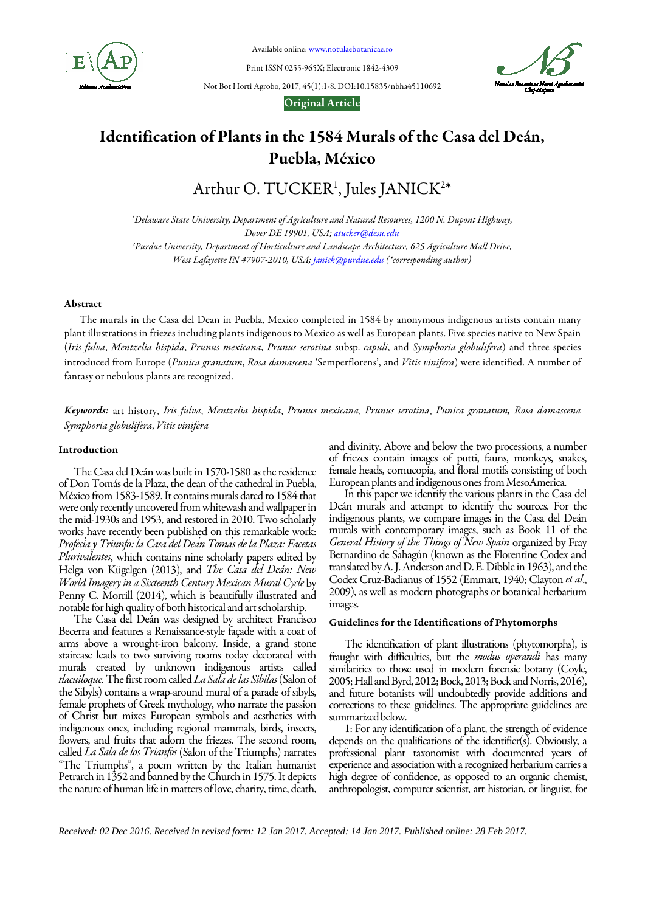

Available online[: www.notulaebotanicae.ro](http://www.notulaebotanicae.ro/)

Print ISSN 0255-965X; Electronic 1842-4309

Not Bot Horti Agrobo, 2017, 45(1):1-8. DOI:10.15835/nbha45110692



## Original Article

# Identification of Plants in the 1584 Murals of the Casa del Deán, Puebla, México

Arthur O. TUCKER<sup>1</sup>, Jules JANICK<sup>2\*</sup>

*1 Delaware State University, Department of Agriculture and Natural Resources, 1200 N. Dupont Highway, Dover DE 19901, USA[; atucker@desu.edu](mailto:atucker@desu.edu) 2 Purdue University, Department of Horticulture and Landscape Architecture, 625 Agriculture Mall Drive, West Lafayette IN 47907-2010, USA[; janick@purdue.edu](mailto:janick@purdue.edu) (\*corresponding author)*

## Abstract

The murals in the Casa del Dean in Puebla, Mexico completed in 1584 by anonymous indigenous artists contain many plant illustrations in friezes including plants indigenous to Mexico as well as European plants. Five species native to New Spain (*Iris fulva*, *Mentzelia hispida*, *Prunus mexicana*, *Prunus serotina* subsp. *capuli*, and *Symphoria globulifera*) and three species introduced from Europe (*Punica granatum*, *Rosa damascena* 'Semperflorens', and *Vitis vinifera*) were identified. A number of fantasy or nebulous plants are recognized.

*Keywords:* art history, *Iris fulva*, *Mentzelia hispida*, *Prunus mexicana*, *Prunus serotina*, *Punica granatum, Rosa damascena Symphoria globulifera*, *Vitis vinifera*

#### Introduction

The Casa del Deán was built in 1570-1580 as the residence of Don Tomás de la Plaza, the dean of the cathedral in Puebla, México from 1583-1589. It contains murals dated to 1584 that were only recently uncovered from whitewash and wallpaper in the mid-1930s and 1953, and restored in 2010. Two scholarly works have recently been published on this remarkable work: *Profecí a y Triunfo: la Casa del Deá n Tomá s de la Plaza: Facetas Plurivalentes*, which contains nine scholarly papers edited by Helga von Kügelgen (2013), and *The Casa del Deán: New World Imagery in a Sixteenth Century Mexican Mural Cycle* by Penny C. Morrill (2014), which is beautifully illustrated and notable for high quality of both historical and art scholarship.

The Casa del Deán was designed by architect Francisco Becerra and features a Renaissance-style façade with a coat of arms above a wrought-iron balcony. Inside, a grand stone staircase leads to two surviving rooms today decorated with murals created by unknown indigenous artists called *tlacuiloque.* The first room called *La Sala de las Sibilas*(Salon of the Sibyls) contains a wrap-around mural of a parade of sibyls, female prophets of Greek mythology, who narrate the passion of Christ but mixes European symbols and aesthetics with indigenous ones, including regional mammals, birds, insects, flowers, and fruits that adorn the friezes. The second room, called *La Sala de los Trianfos* (Salon of the Triumphs) narrates "The Triumphs", a poem written by the Italian humanist Petrarch in 1352 and banned by the Church in 1575. It depicts the nature of human life in matters of love, charity, time, death, and divinity. Above and below the two processions, a number of friezes contain images of putti, fauns, monkeys, snakes, female heads, cornucopia, and floral motifs consisting of both European plants and indigenous ones from MesoAmerica.

In this paper we identify the various plants in the Casa del Deán murals and attempt to identify the sources. For the indigenous plants, we compare images in the Casa del Deán murals with contemporary images, such as Book 11 of the *General History of the Things of New Spain* organized by Fray Bernardino de Sahagún (known as the Florentine Codex and translated by A. J. Anderson and D. E. Dibble in 1963), and the Codex Cruz-Badianus of 1552 (Emmart, 1940; Clayton *et al*., 2009), as well as modern photographs or botanical herbarium images.

## Guidelines for the Identifications of Phytomorphs

The identification of plant illustrations (phytomorphs), is fraught with difficulties, but the *modus operandi* has many similarities to those used in modern forensic botany (Coyle, 2005; Hall and Byrd, 2012; Bock, 2013; Bock and Norris, 2016), and future botanists will undoubtedly provide additions and corrections to these guidelines. The appropriate guidelines are summarized below.

1: For any identification of a plant, the strength of evidence depends on the qualifications of the identifier(s). Obviously, a professional plant taxonomist with documented years of experience and association with a recognized herbarium carries a high degree of confidence, as opposed to an organic chemist, anthropologist, computer scientist, art historian, or linguist, for

*Received: 02 Dec 2016. Received in revised form: 12 Jan 2017. Accepted: 14 Jan 2017. Published online: 28 Feb 2017.*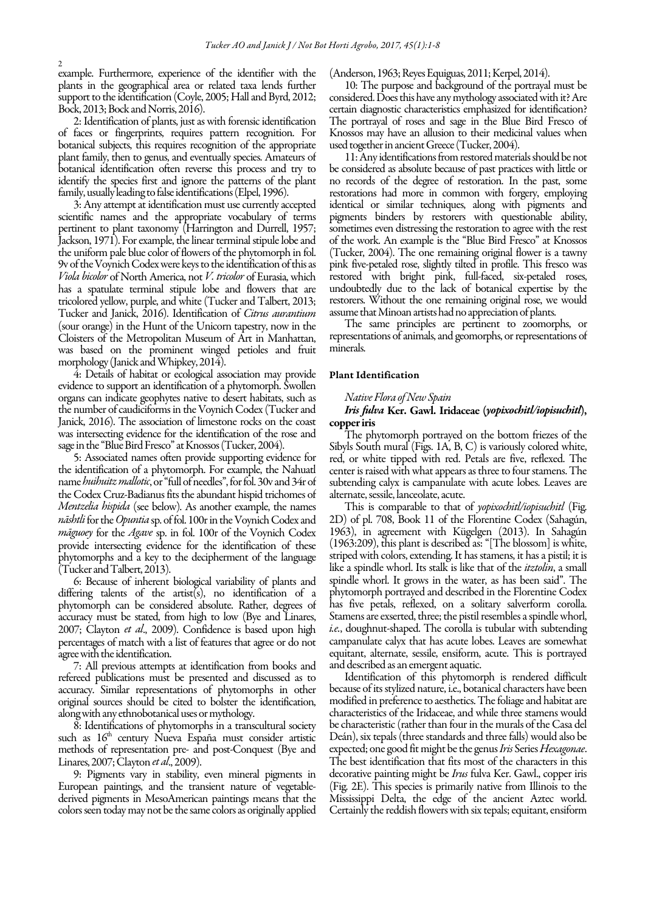example. Furthermore, experience of the identifier with the plants in the geographical area or related taxa lends further support to the identification (Coyle, 2005; Hall and Byrd, 2012; Bock, 2013; Bockand Norris, 2016).

2: Identification of plants, just as with forensic identification of faces or fingerprints, requires pattern recognition. For botanical subjects, this requires recognition of the appropriate plant family, then to genus, and eventually species. Amateurs of botanical identification often reverse this process and try to identify the species first and ignore the patterns of the plant family, usually leading to false identifications (Elpel, 1996).

3: Any attempt at identification must use currently accepted scientific names and the appropriate vocabulary of terms pertinent to plant taxonomy (Harrington and Durrell, 1957; Jackson, 1971). For example, the linear terminal stipule lobe and the uniform pale blue color of flowers of the phytomorph in fol. 9v of the Voynich Codex were keys to the identification of this as *Viola bicolor* of North America, not *V. tricolor* of Eurasia, which has a spatulate terminal stipule lobe and flowers that are tricolored yellow, purple, and white (Tucker and Talbert, 2013; Tucker and Janick, 2016). Identification of *Citrus aurantium* (sour orange) in the Hunt of the Unicorn tapestry, now in the Cloisters of the Metropolitan Museum of Art in Manhattan, was based on the prominent winged petioles and fruit morphology (Janick and Whipkey, 2014).

4: Details of habitat or ecological association may provide evidence to support an identification of a phytomorph. Swollen organs can indicate geophytes native to desert habitats, such as the number of caudiciforms in the Voynich Codex (Tucker and Janick, 2016). The association of limestone rocks on the coast was intersecting evidence for the identification of the rose and sage in the "Blue Bird Fresco" at Knossos (Tucker, 2004).

5: Associated names often provide supporting evidence for the identification of a phytomorph. For example, the Nahuatl name *huihuitz mallotic*, or "full of needles", for fol. 30v and 34r of the Codex Cruz-Badianus fits the abundant hispid trichomes of *Mentzelia hispida* (see below). As another example, the names *nāshtli* for the *Opuntia* sp. of fol. 100r in the Voynich Codex and *māguoey* for the *Agave* sp. in fol. 100r of the Voynich Codex provide intersecting evidence for the identification of these phytomorphs and a key to the decipherment of the language (Tucker and Talbert, 2013).

6: Because of inherent biological variability of plants and differing talents of the artist(s), no identification of a phytomorph can be considered absolute. Rather, degrees of accuracy must be stated, from high to low (Bye and Linares, 2007; Clayton *et al*., 2009). Confidence is based upon high percentages of match with a list of features that agree or do not agree with the identification.

7: All previous attempts at identification from books and refereed publications must be presented and discussed as to accuracy. Similar representations of phytomorphs in other original sources should be cited to bolster the identification, along with any ethnobotanical uses or mythology.

8: Identifications of phytomorphs in a transcultural society such as 16<sup>th</sup> century Nueva España must consider artistic methods of representation pre- and post-Conquest (Bye and Linares, 2007; Clayton *et al*., 2009).

9: Pigments vary in stability, even mineral pigments in European paintings, and the transient nature of vegetablederived pigments in MesoAmerican paintings means that the colors seen today may not be the same colors as originally applied (Anderson, 1963; Reyes Equiguas, 2011; Kerpel, 2014).

10: The purpose and background of the portrayal must be considered. Does this have any mythology associated with it? Are certain diagnostic characteristics emphasized for identification? The portrayal of roses and sage in the Blue Bird Fresco of Knossos may have an allusion to their medicinal values when used together in ancient Greece (Tucker, 2004).

11: Any identifications from restored materials should be not be considered as absolute because of past practices with little or no records of the degree of restoration. In the past, some restorations had more in common with forgery, employing identical or similar techniques, along with pigments and pigments binders by restorers with questionable ability, sometimes even distressing the restoration to agree with the rest of the work. An example is the "Blue Bird Fresco" at Knossos (Tucker, 2004). The one remaining original flower is a tawny pink five-petaled rose, slightly tilted in profile. This fresco was restored with bright pink, full-faced, six-petaled roses, undoubtedly due to the lack of botanical expertise by the restorers. Without the one remaining original rose, we would assume that Minoan artists had no appreciation of plants.

The same principles are pertinent to zoomorphs, or representations of animals, and geomorphs, or representations of minerals.

## Plant Identification

#### *Native Flora of New Spain*

## *Iris fulva* Ker. Gawl. Iridaceae (*yopixochitl/iopisuchitl*), copper iris

The phytomorph portrayed on the bottom friezes of the Sibyls South mural (Figs. 1A, B, C) is variously colored white, red, or white tipped with red. Petals are five, reflexed. The center is raised with what appears as three to four stamens. The subtending calyx is campanulate with acute lobes. Leaves are alternate, sessile, lanceolate, acute.

This is comparable to that of *yopixochitl/iopisuchitl* (Fig. 2D) of pl. 708, Book 11 of the Florentine Codex (Sahagún, 1963), in agreement with Kügelgen (2013). In Sahagún (1963:209), this plant is described as: "[The blossom] is white, striped with colors, extending. It has stamens, it has a pistil; it is like a spindle whorl. Its stalk is like that of the *itztolin*, a small spindle whorl. It grows in the water, as has been said". The phytomorph portrayed and described in the Florentine Codex has five petals, reflexed, on a solitary salverform corolla. Stamens are exserted, three; the pistil resembles a spindle whorl, *i.e.*, doughnut-shaped. The corolla is tubular with subtending campanulate calyx that has acute lobes. Leaves are somewhat equitant, alternate, sessile, ensiform, acute. This is portrayed and described as an emergent aquatic.

Identification of this phytomorph is rendered difficult because of its stylized nature, i.e., botanical characters have been modified in preference to aesthetics. The foliage and habitat are characteristics of the Iridaceae, and while three stamens would be characteristic (rather than four in the murals of the Casa del Deán), six tepals (three standards and three falls) would also be expected; one good fit might be the genus *Iris* Series *Hexagonae*. The best identification that fits most of the characters in this decorative painting might be *Irus* fulva Ker. Gawl., copper iris (Fig. 2E). This species is primarily native from Illinois to the Mississippi Delta, the edge of the ancient Aztec world. Certainly the reddish flowers with six tepals; equitant, ensiform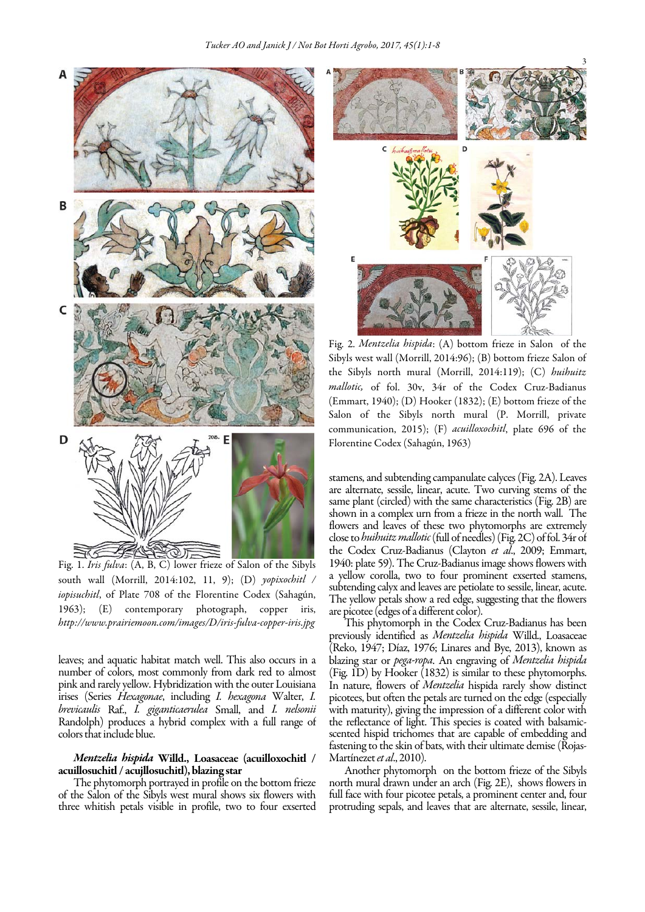

Fig. 1. *Iris fulva*: (A, B, C) lower frieze of Salon of the Sibyls south wall (Morrill, 2014:102, 11, 9); (D) *yopixochitl / iopisuchitl*, of Plate 708 of the Florentine Codex (Sahagún, 1963); (E) contemporary photograph, copper iris, *<http://www.prairiemoon.com/images/D/iris-fulva-copper-iris.jpg>*

leaves; and aquatic habitat match well. This also occurs in a number of colors, most commonly from dark red to almost pink and rarely yellow. Hybridization with the outer Louisiana irises (Series *Hexagonae*, including *I. hexagona* Walter, *I. brevicaulis* Raf., *I. giganticaerulea* Small, and *I. nelsonii* Randolph) produces a hybrid complex with a full range of colors that include blue.

#### *Mentzelia hispida* Willd., Loasaceae (acuilloxochitl / acuillosuchitl / acujllosuchitl), blazing star

The phytomorph portrayed in profile on the bottom frieze of the Salon of the Sibyls west mural shows six flowers with three whitish petals visible in profile, two to four exserted



Fig. 2. *Mentzelia hispida*: (A) bottom frieze in Salon of the Sibyls west wall (Morrill, 2014:96); (B) bottom frieze Salon of the Sibyls north mural (Morrill, 2014:119); (C) *huihuitz mallotic,* of fol. 30v, 34r of the Codex Cruz-Badianus (Emmart, 1940); (D) Hooker (1832); (E) bottom frieze of the Salon of the Sibyls north mural (P. Morrill, private communication, 2015); (F) *acuilloxochitl*, plate 696 of the Florentine Codex (Sahagún, 1963)

stamens, and subtending campanulate calyces (Fig. 2A). Leaves are alternate, sessile, linear, acute. Two curving stems of the same plant (circled) with the same characteristics (Fig. 2B) are shown in a complex urn from a frieze in the north wall. The flowers and leaves of these two phytomorphs are extremely close to *huihuitz mallotic* (full of needles) (Fig. 2C) of fol. 34r of the Codex Cruz-Badianus (Clayton *et al*., 2009; Emmart, 1940: plate 59). The Cruz-Badianus image shows flowers with a yellow corolla, two to four prominent exserted stamens, subtending calyx and leaves are petiolate to sessile, linear, acute. The yellow petals show a red edge, suggesting that the flowers are picotee (edges of a different color).

This phytomorph in the Codex Cruz-Badianus has been previously identified as *Mentzelia hispida* Willd., Loasaceae (Reko, 1947; Díaz, 1976; Linares and Bye, 2013), known as blazing star or *pega-ropa*. An engraving of *Mentzelia hispida* (Fig. 1D) by Hooker (1832) is similar to these phytomorphs. In nature, flowers of *Mentzelia* hispida rarely show distinct picotees, but often the petalsare turned on the edge (especially with maturity), giving the impression of a different color with the reflectance of light. This species is coated with balsamicscented hispid trichomes that are capable of embedding and fastening to the skin of bats, with their ultimate demise (Rojas-Martínezet *et al*., 2010).

Another phytomorph on the bottom frieze of the Sibyls north mural drawn under an arch (Fig. 2E), shows flowers in full face with four picotee petals, a prominent center and, four protruding sepals, and leaves that are alternate, sessile, linear,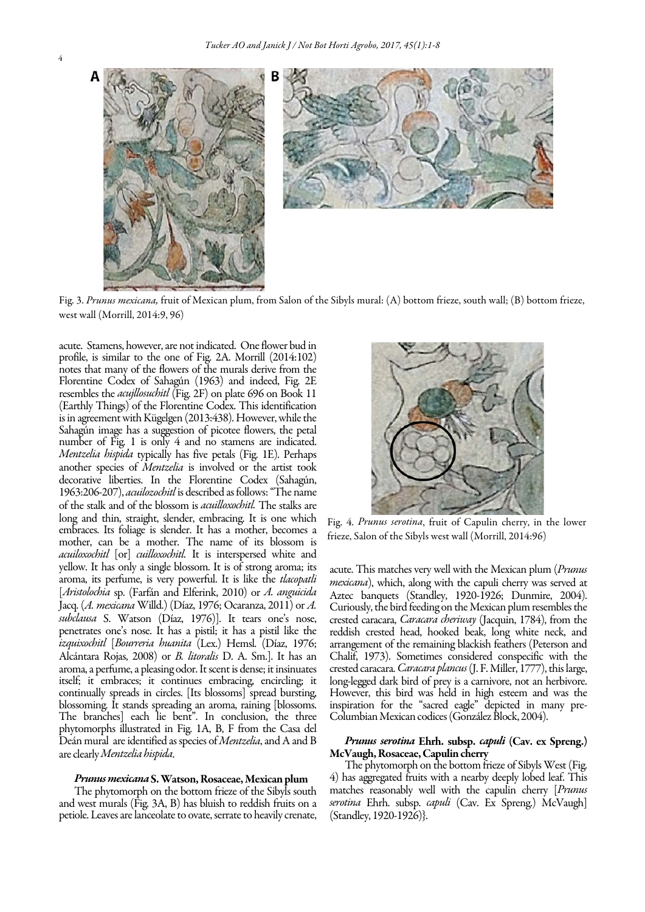

Fig. 3. *Prunus mexicana,* fruit of Mexican plum, from Salon of the Sibyls mural: (A) bottom frieze, south wall; (B) bottom frieze, west wall (Morrill, 2014:9, 96)

acute. Stamens, however, are not indicated. One flower bud in profile, is similar to the one of Fig. 2A. Morrill (2014:102) notes that many of the flowers of the murals derive from the Florentine Codex of Sahagún (1963) and indeed, Fig. 2E resembles the *acujllosuchitl* (Fig. 2F) on plate 696 on Book 11 (Earthly Things) of the Florentine Codex. This identification is in agreement with Kügelgen (2013:438). However, while the Sahagún image has a suggestion of picotee flowers, the petal number of Fig. 1 is only 4 and no stamens are indicated. *Mentzelia hispida* typically has five petals (Fig. 1E). Perhaps another species of *Mentzelia* is involved or the artist took decorative liberties. In the Florentine Codex (Sahagún, 1963:206-207), *acuilozochitl* is described as follows: "The name of the stalk and of the blossom is *acuilloxochitl.* The stalks are long and thin, straight, slender, embracing. It is one which embraces. Its foliage is slender. It has a mother, becomes a mother, can be a mother. The name of its blossom is *acuiloxochitl* [or] *cuilloxochitl.* It is interspersed white and yellow. It has only a single blossom. It is of strong aroma; its aroma, its perfume, is very powerful. It is like the *tlacopatli*  [*Aristolochia* sp. (Farfán and Elferink, 2010) or *A. anguicida* Jacq. (*A. mexicana* Willd.) (Díaz, 1976; Ocaranza, 2011) or *A. subclausa* S. Watson (Díaz, 1976)]. It tears one's nose, penetrates one's nose. It has a pistil; it has a pistil like the *izquixochitl* [*Bourreria huanita* (Lex.) Hemsl. (Díaz, 1976; Alcántara Rojas, 2008) or *B. litoralis* D. A. Sm.]. It has an aroma, a perfume, a pleasing odor. It scent is dense; it insinuates itself; it embraces; it continues embracing, encircling; it continually spreads in circles. [Its blossoms] spread bursting, blossoming. It stands spreading an aroma, raining [blossoms. The branches] each lie bent". In conclusion, the three phytomorphs illustrated in Fig. 1A, B, F from the Casa del Deán mural are identified as species of *Mentzelia*, and A and B are clearly *Mentzelia hispida*.

## *Prunus mexicana* S. Watson, Rosaceae, Mexican plum

The phytomorph on the bottom frieze of the Sibyls south and west murals (Fig. 3A, B) has bluish to reddish fruits on a petiole. Leaves are lanceolate to ovate, serrate to heavily crenate,



Fig. 4. *Prunus serotina*, fruit of Capulin cherry, in the lower frieze, Salon of the Sibyls west wall (Morrill, 2014:96)

acute. This matches very well with the Mexican plum (*Prunus mexicana*), which, along with the capuli cherry was served at Aztec banquets (Standley, 1920-1926; Dunmire, 2004). Curiously, the bird feeding on the Mexican plum resembles the crested caracara, *Caracara cheriway* (Jacquin, 1784), from the reddish crested head, hooked beak, long white neck, and arrangement of the remaining blackish feathers (Peterson and Chalif, 1973). Sometimes considered conspecific with the crested caracara. *Caracara plancus*(J. F. Miller, 1777), this large, long-legged dark bird of prey is a carnivore, not an herbivore. However, this bird was held in high esteem and was the inspiration for the "sacred eagle" depicted in many pre-Columbian Mexican codices (González Block, 2004).

## *Prunus serotina* Ehrh. subsp. *capuli* (Cav. ex Spreng.) McVaugh, Rosaceae, Capulin cherry

The phytomorph on the bottom frieze of Sibyls West (Fig. 4) has aggregated fruits with a nearby deeply lobed leaf. This matches reasonably well with the capulin cherry [*Prunus serotina* Ehrh. subsp. *capuli* (Cav. Ex Spreng.) McVaugh] (Standley, 1920-1926)}.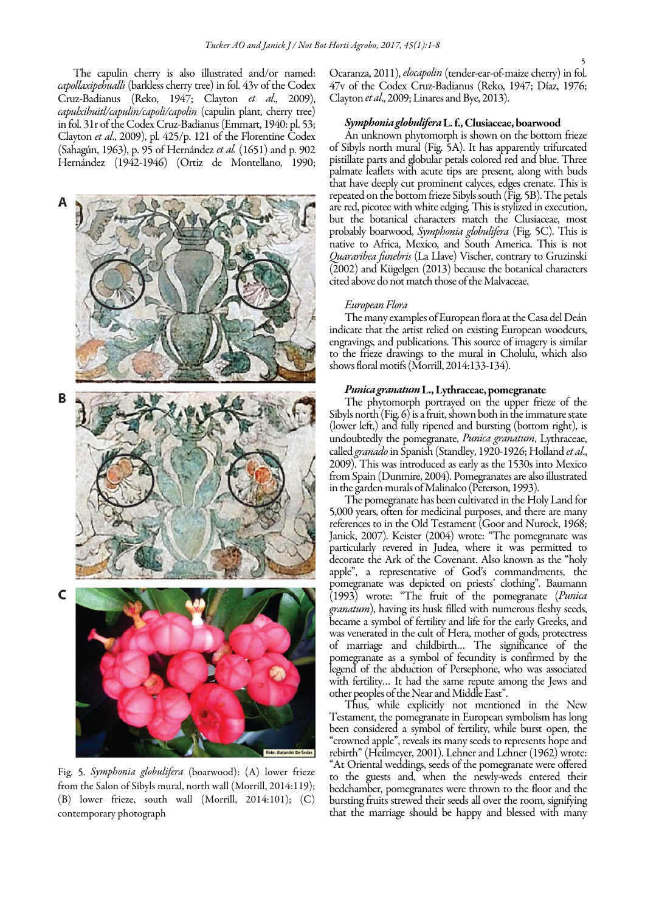The capulin cherry is also illustrated and/or named: *capollaxipehualli* (barkless cherry tree) in fol. 43v of the Codex Cruz-Badianus (Reko, 1947; Clayton *et al*., 2009), *capulxihuitl/capulin/capoli/capolin* (capulin plant, cherry tree) in fol. 31r of the Codex Cruz-Badianus (Emmart, 1940: pl. 53; Clayton *et al*., 2009), pl. 425/p. 121 of the Florentine Codex (Sahagún, 1963), p. 95 of Hernández *et al.* (1651) and p. 902 Hernández (1942-1946) (Ortiz de Montellano, 1990;



Fig. 5. *Symphonia globulifera* (boarwood): (A) lower frieze from the Salon of Sibyls mural, north wall (Morrill, 2014:119); (B) lower frieze, south wall (Morrill, 2014:101); (C) contemporary photograph

Ocaranza, 2011), *elocapolin* (tender-ear-of-maize cherry) in fol. 47v of the Codex Cruz-Badianus (Reko, 1947; Díaz, 1976; Clayton *et al.*, 2009; Linares and Bye, 2013).

#### *Symphonia globulifera* L. f., Clusiaceae, boarwood

An unknown phytomorph is shown on the bottom frieze of Sibyls north mural (Fig. 5A). It has apparently trifurcated pistillate parts and globular petals colored red and blue. Three palmate leaflets with acute tips are present, along with buds that have deeply cut prominent calyces, edges crenate. This is repeated on the bottom frieze Sibyls south (Fig. 5B). The petals are red, picotee with white edging. This is stylized in execution, but the botanical characters match the Clusiaceae, most probably boarwood, *Symphonia globulifera* (Fig. 5C). This is native to Africa, Mexico, and South America. This is not *Quararibea funebris* (La Llave) Vischer, contrary to Gruzinski (2002) and Kügelgen (2013) because the botanical characters cited above do not match those of the Malvaceae.

#### *European Flora*

The many examples of European flora at the Casa del Deán indicate that the artist relied on existing European woodcuts, engravings, and publications. This source of imagery is similar to the frieze drawings to the mural in Cholulu, which also shows floral motifs (Morrill, 2014:133-134).

## *Punica granatum*L., Lythraceae, pomegranate

The phytomorph portrayed on the upper frieze of the Sibyls north (Fig.  $6$ ) is a fruit, shown both in the immature state (lower left,) and fully ripened and bursting (bottom right), is undoubtedly the pomegranate, *Punica granatum*, Lythraceae, called *granado* in Spanish (Standley, 1920-1926; Holland *et al*., 2009). This was introduced as early as the 1530s into Mexico from Spain (Dunmire, 2004). Pomegranates are also illustrated in the garden murals of Malinalco (Peterson, 1993).

The pomegranate has been cultivated in the Holy Land for 5,000 years, often for medicinal purposes, and there are many references to in the Old Testament (Goor and Nurock, 1968; Janick, 2007). Keister (2004) wrote: "The pomegranate was particularly revered in Judea, where it was permitted to decorate the Ark of the Covenant. Also known as the "holy apple", a representative of God's commandments, the pomegranate was depicted on priests' clothing". Baumann (1993) wrote: "The fruit of the pomegranate (*Punica granatum*), having its husk filled with numerous fleshy seeds, became a symbol of fertility and life for the early Greeks, and was venerated in the cult of Hera, mother of gods, protectress of marriage and childbirth… The significance of the pomegranate as a symbol of fecundity is confirmed by the legend of the abduction of Persephone, who was associated with fertility… It had the same repute among the Jews and other peoples of the Near and Middle East".

Thus, while explicitly not mentioned in the New Testament, the pomegranate in European symbolism has long been considered a symbol of fertility, while burst open, the "crowned apple", reveals its many seeds to represents hope and rebirth" (Heilmeyer, 2001). Lehner and Lehner (1962) wrote: "At Oriental weddings, seeds of the pomegranate were offered to the guests and, when the newly-weds entered their bedchamber, pomegranates were thrown to the floor and the bursting fruits strewed their seeds all over the room, signifying that the marriage should be happy and blessed with many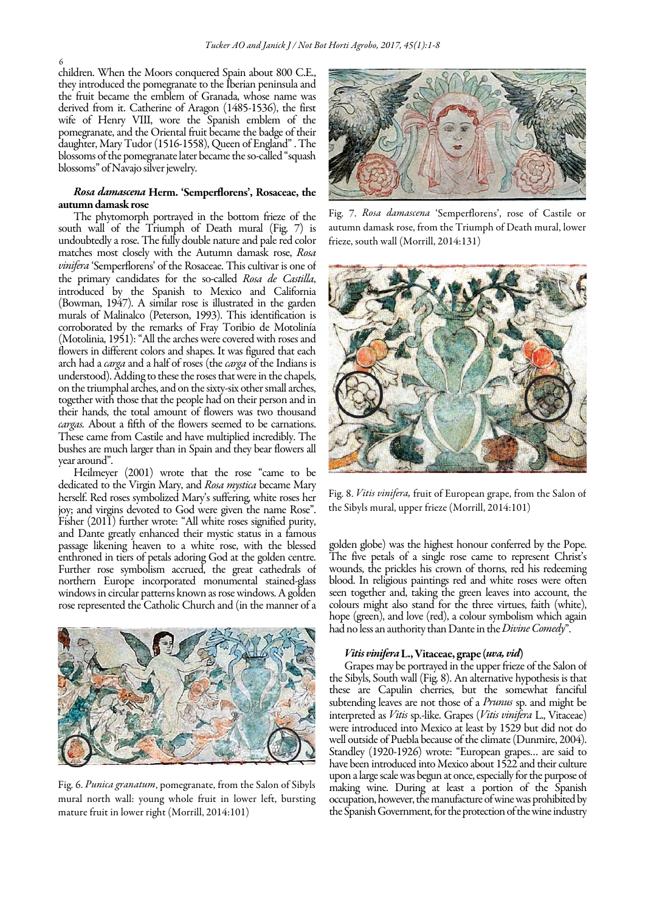children. When the Moors conquered Spain about 800 C.E., they introduced the pomegranate to the Iberian peninsula and the fruit became the emblem of Granada, whose name was derived from it. Catherine of Aragon (1485-1536), the first wife of Henry VIII, wore the Spanish emblem of the pomegranate, and the Oriental fruit became the badge of their daughter, Mary Tudor (1516-1558), Queen of England".The blossoms of the pomegranate later became the so-called "squash blossoms" of Navajo silver jewelry.

#### *Rosa damascena* Herm. 'Semperflorens', Rosaceae, the autumn damask rose

The phytomorph portrayed in the bottom frieze of the south wall of the Triumph of Death mural (Fig. 7) is undoubtedly a rose. The fully double nature and pale red color matches most closely with the Autumn damask rose, *Rosa vinifera* 'Semperflorens' of the Rosaceae. This cultivar is one of the primary candidates for the so-called *Rosa de Castilla*, introduced by the Spanish to Mexico and California (Bowman, 1947). A similar rose is illustrated in the garden murals of Malinalco (Peterson, 1993). This identification is corroborated by the remarks of Fray Toribio de Motolinía (Motolinia, 1951): "All the arches were covered with roses and flowers in different colors and shapes. It was figured that each arch had a *carga* and a half of roses (the *carga* of the Indians is understood). Adding to these the roses that were in the chapels, on the triumphal arches, and on the sixty-six other small arches, together with those that the people had on their person and in their hands, the total amount of flowers was two thousand *cargas.* About a fifth of the flowers seemed to be carnations. These came from Castile and have multiplied incredibly. The bushes are much larger than in Spain and they bear flowers all year around".

Heilmeyer (2001) wrote that the rose "came to be dedicated to the Virgin Mary, and *Rosa mystica* became Mary herself. Red roses symbolized Mary's suffering, white roses her joy; and virgins devoted to God were given the name Rose". Fisher (2011) further wrote: "All white roses signified purity, and Dante greatly enhanced their mystic status in a famous passage likening heaven to a white rose, with the blessed enthroned in tiers of petals adoring God at the golden centre. Further rose symbolism accrued, the great cathedrals of northern Europe incorporated monumental stained-glass windows in circular patterns known as rose windows. A golden rose represented the Catholic Church and (in the manner of a



Fig. 6. *Punica granatum*, pomegranate, from the Salon of Sibyls mural north wall: young whole fruit in lower left, bursting mature fruit in lower right (Morrill, 2014:101)



Fig. 7. *Rosa damascena* 'Semperflorens', rose of Castile or autumn damask rose, from the Triumph of Death mural, lower frieze, south wall (Morrill, 2014:131)



Fig. 8. *Vitis vinifera,* fruit of European grape, from the Salon of the Sibyls mural, upper frieze (Morrill, 2014:101)

golden globe) was the highest honour conferred by the Pope. The five petals of a single rose came to represent Christ's wounds, the prickles his crown of thorns, red his redeeming blood. In religious paintings red and white roses were often seen together and, taking the green leaves into account, the colours might also stand for the three virtues, faith (white), hope (green), and love (red), a colour symbolism which again had no less an authority than Dante in the *Divine Comedy*".

#### *Vitis vinifera*L., Vitaceae, grape (*uva, vid*)

Grapes may be portrayed in the upper frieze of the Salon of the Sibyls, South wall (Fig. 8). An alternative hypothesis is that these are Capulin cherries, but the somewhat fanciful subtending leaves are not those of a *Prunus* sp. and might be interpreted as *Vitis* sp.-like. Grapes (*Vitis vinifera* L., Vitaceae) were introduced into Mexico at least by 1529 but did not do well outside of Puebla because of the climate (Dunmire, 2004). Standley (1920-1926) wrote: "European grapes… are said to have been introduced into Mexico about 1522 and their culture upon a large scale was begun at once, especially for the purpose of making wine. During at least a portion of the Spanish occupation, however, the manufacture of wine was prohibited by the Spanish Government, for the protection of the wine industry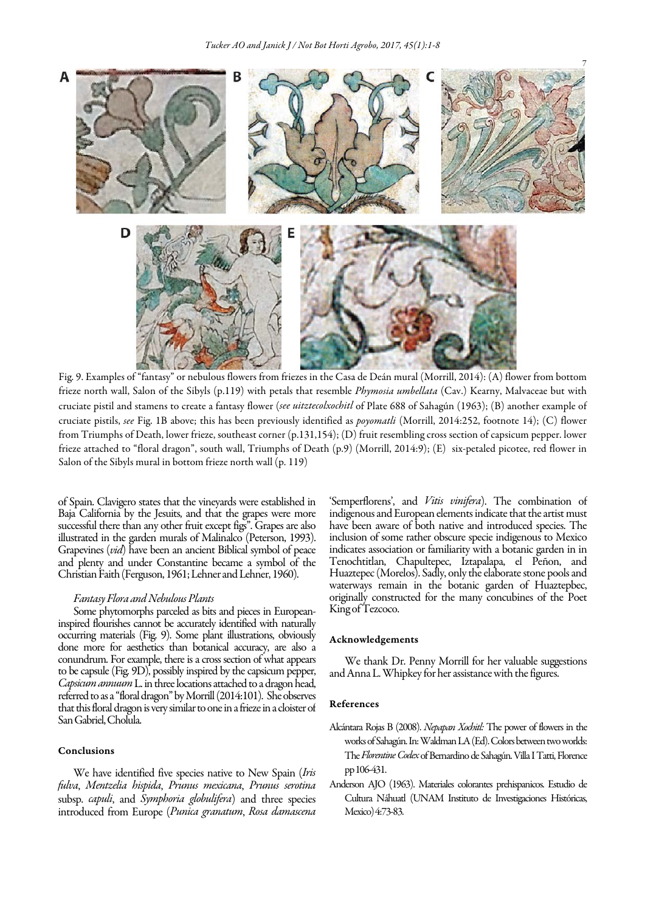

Fig. 9. Examples of "fantasy" or nebulous flowers from friezes in the Casa de Deán mural (Morrill, 2014): (A) flower from bottom frieze north wall, Salon of the Sibyls (p.119) with petals that resemble *Phymosia umbellata* (Cav.) Kearny, Malvaceae but with cruciate pistil and stamens to create a fantasy flower (*see uitztecolxochitl* of Plate 688 of Sahagún (1963); (B) another example of cruciate pistils, *see* Fig. 1B above; this has been previously identified as *poyomatli* (Morrill, 2014:252, footnote 14); (C) flower from Triumphs of Death, lower frieze, southeast corner (p.131,154); (D) fruit resembling cross section of capsicum pepper. lower frieze attached to "floral dragon", south wall, Triumphs of Death (p.9) (Morrill, 2014:9); (E) six-petaled picotee, red flower in Salon of the Sibyls mural in bottom frieze north wall (p. 119)

of Spain. Clavigero states that the vineyards were established in Baja California by the Jesuits, and that the grapes were more successful there than any other fruit except figs". Grapes are also illustrated in the garden murals of Malinalco (Peterson, 1993). Grapevines (*vid*) have been an ancient Biblical symbol of peace and plenty and under Constantine became a symbol of the Christian Faith (Ferguson, 1961; Lehner and Lehner, 1960).

#### *Fantasy Flora and Nebulous Plants*

Some phytomorphs parceled as bits and pieces in Europeaninspired flourishes cannot be accurately identified with naturally occurring materials (Fig. 9). Some plant illustrations, obviously done more for aesthetics than botanical accuracy, are also a conundrum. For example, there is a cross section of what appears to be capsule (Fig. 9D), possibly inspired by the capsicum pepper, *Capsicum annuum*L. in three locations attached to a dragon head, referred to as a "floral dragon" by Morrill (2014:101). She observes that this floral dragon is very similar to one in a frieze in a cloister of San Gabriel, Cholula.

## Conclusions

We have identified five species native to New Spain (*Iris fulva*, *Mentzelia hispida*, *Prunus mexicana*, *Prunus serotina* subsp. *capuli*, and *Symphoria globulifera*) and three species introduced from Europe (*Punica granatum*, *Rosa damascena*

'Semperflorens', and *Vitis vinifera*). The combination of indigenous and European elements indicate that the artist must have been aware of both native and introduced species. The inclusion of some rather obscure specie indigenous to Mexico indicates association or familiarity with a botanic garden in in Tenochtitlan, Chapultepec, Iztapalapa, el Peñon, and Huaztepec (Morelos). Sadly, only the elaborate stone pools and waterways remain in the botanic garden of Huaztepbec, originally constructed for the many concubines of the Poet King of Tezcoco.

#### Acknowledgements

We thank Dr. Penny Morrill for her valuable suggestions and Anna L. Whipkey for her assistance with the figures.

## References

- Alcántara Rojas B (2008). *Nepapan Xochitl:* The power of flowers in the works of Sahagún. In: Waldman LA (Ed). Colors between two worlds: The *Florentine Codex*of Bernardino de Sahagún. Villa I Tatti, Florence pp 106-431.
- Anderson AJO (1963). Materiales colorantes prehispanicos. Estudio de Cultura Náhuatl (UNAM Instituto de Investigaciones Históricas, Mexico) 4:73-83.